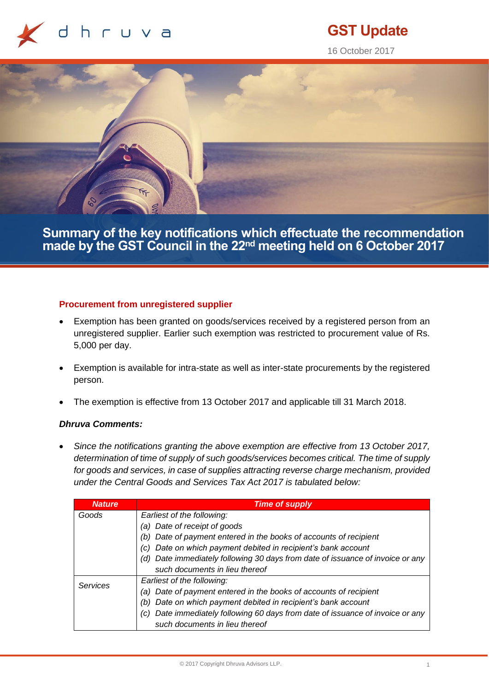

# **GST Update**

16 October 2017



**Summary of the key notifications which effectuate the recommendation made by the GST Council in the 22nd meeting held on 6 October 2017**

## **Procurement from unregistered supplier**

- Exemption has been granted on goods/services received by a registered person from an unregistered supplier. Earlier such exemption was restricted to procurement value of Rs. 5,000 per day.
- Exemption is available for intra-state as well as inter-state procurements by the registered person.
- The exemption is effective from 13 October 2017 and applicable till 31 March 2018.

# *Dhruva Comments:*

• *Since the notifications granting the above exemption are effective from 13 October 2017, determination of time of supply of such goods/services becomes critical. The time of supply for goods and services, in case of supplies attracting reverse charge mechanism, provided under the Central Goods and Services Tax Act 2017 is tabulated below:*

| <b>Nature</b> | <b>Time of supply</b>                                                          |
|---------------|--------------------------------------------------------------------------------|
| Goods         | Earliest of the following:                                                     |
|               | (a) Date of receipt of goods                                                   |
|               | Date of payment entered in the books of accounts of recipient                  |
|               | Date on which payment debited in recipient's bank account<br>(C)               |
|               | (d) Date immediately following 30 days from date of issuance of invoice or any |
|               | such documents in lieu thereof                                                 |
| Services      | Earliest of the following:                                                     |
|               | (a) Date of payment entered in the books of accounts of recipient              |
|               | Date on which payment debited in recipient's bank account                      |
|               | Date immediately following 60 days from date of issuance of invoice or any     |
|               | such documents in lieu thereof                                                 |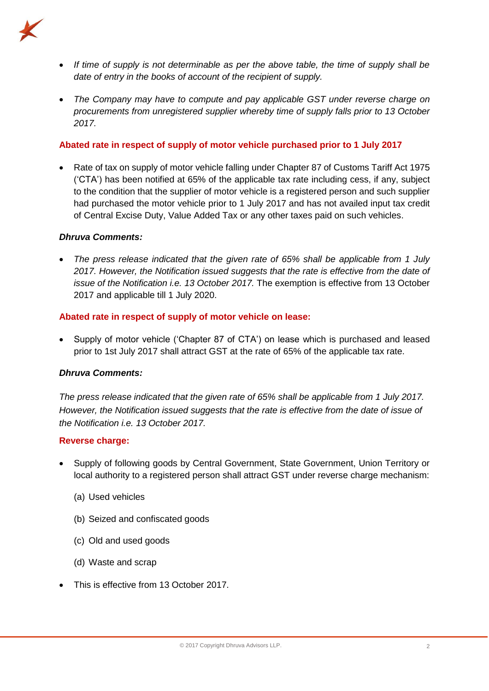

- *If time of supply is not determinable as per the above table, the time of supply shall be date of entry in the books of account of the recipient of supply.*
- *The Company may have to compute and pay applicable GST under reverse charge on procurements from unregistered supplier whereby time of supply falls prior to 13 October 2017.*

# **Abated rate in respect of supply of motor vehicle purchased prior to 1 July 2017**

• Rate of tax on supply of motor vehicle falling under Chapter 87 of Customs Tariff Act 1975 ('CTA') has been notified at 65% of the applicable tax rate including cess, if any, subject to the condition that the supplier of motor vehicle is a registered person and such supplier had purchased the motor vehicle prior to 1 July 2017 and has not availed input tax credit of Central Excise Duty, Value Added Tax or any other taxes paid on such vehicles.

# *Dhruva Comments:*

• *The press release indicated that the given rate of 65% shall be applicable from 1 July 2017. However, the Notification issued suggests that the rate is effective from the date of issue of the Notification i.e. 13 October 2017.* The exemption is effective from 13 October 2017 and applicable till 1 July 2020.

# **Abated rate in respect of supply of motor vehicle on lease:**

• Supply of motor vehicle ('Chapter 87 of CTA') on lease which is purchased and leased prior to 1st July 2017 shall attract GST at the rate of 65% of the applicable tax rate.

# *Dhruva Comments:*

*The press release indicated that the given rate of 65% shall be applicable from 1 July 2017. However, the Notification issued suggests that the rate is effective from the date of issue of the Notification i.e. 13 October 2017.* 

#### **Reverse charge:**

- Supply of following goods by Central Government, State Government, Union Territory or local authority to a registered person shall attract GST under reverse charge mechanism:
	- (a) Used vehicles
	- (b) Seized and confiscated goods
	- (c) Old and used goods
	- (d) Waste and scrap
- This is effective from 13 October 2017.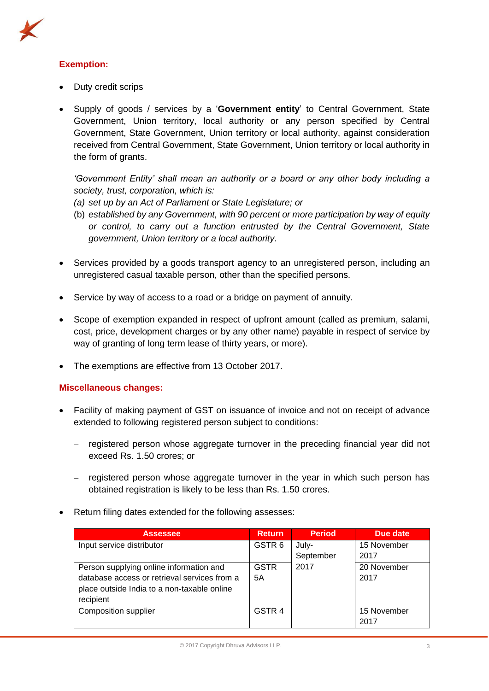

- Duty credit scrips
- Supply of goods / services by a '**Government entity**' to Central Government, State Government, Union territory, local authority or any person specified by Central Government, State Government, Union territory or local authority, against consideration received from Central Government, State Government, Union territory or local authority in the form of grants.

*'Government Entity' shall mean an authority or a board or any other body including a society, trust, corporation, which is:* 

- *(a) set up by an Act of Parliament or State Legislature; or*
- (b) *established by any Government, with 90 percent or more participation by way of equity or control, to carry out a function entrusted by the Central Government, State government, Union territory or a local authority*.
- Services provided by a goods transport agency to an unregistered person, including an unregistered casual taxable person, other than the specified persons.
- Service by way of access to a road or a bridge on payment of annuity.
- Scope of exemption expanded in respect of upfront amount (called as premium, salami, cost, price, development charges or by any other name) payable in respect of service by way of granting of long term lease of thirty years, or more).
- The exemptions are effective from 13 October 2017.

#### **Miscellaneous changes:**

- Facility of making payment of GST on issuance of invoice and not on receipt of advance extended to following registered person subject to conditions:
	- registered person whose aggregate turnover in the preceding financial year did not exceed Rs. 1.50 crores; or
	- registered person whose aggregate turnover in the year in which such person has obtained registration is likely to be less than Rs. 1.50 crores.
- Return filing dates extended for the following assesses:

| <b>Assessee</b>                              | Return.           | <b>Period</b> | Due date    |
|----------------------------------------------|-------------------|---------------|-------------|
| Input service distributor                    | GSTR <sub>6</sub> | July-         | 15 November |
|                                              |                   | September     | 2017        |
| Person supplying online information and      | <b>GSTR</b>       | 2017          | 20 November |
| database access or retrieval services from a | 5Α                |               | 2017        |
| place outside India to a non-taxable online  |                   |               |             |
| recipient                                    |                   |               |             |
| <b>Composition supplier</b>                  | GSTR <sub>4</sub> |               | 15 November |
|                                              |                   |               | 2017        |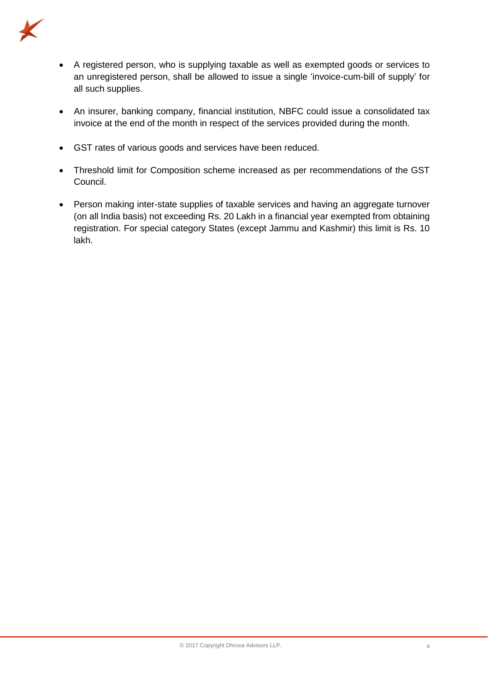

- A registered person, who is supplying taxable as well as exempted goods or services to an unregistered person, shall be allowed to issue a single 'invoice-cum-bill of supply' for all such supplies.
- An insurer, banking company, financial institution, NBFC could issue a consolidated tax invoice at the end of the month in respect of the services provided during the month.
- GST rates of various goods and services have been reduced.
- Threshold limit for Composition scheme increased as per recommendations of the GST Council.
- Person making inter-state supplies of taxable services and having an aggregate turnover (on all India basis) not exceeding Rs. 20 Lakh in a financial year exempted from obtaining registration. For special category States (except Jammu and Kashmir) this limit is Rs. 10 lakh.